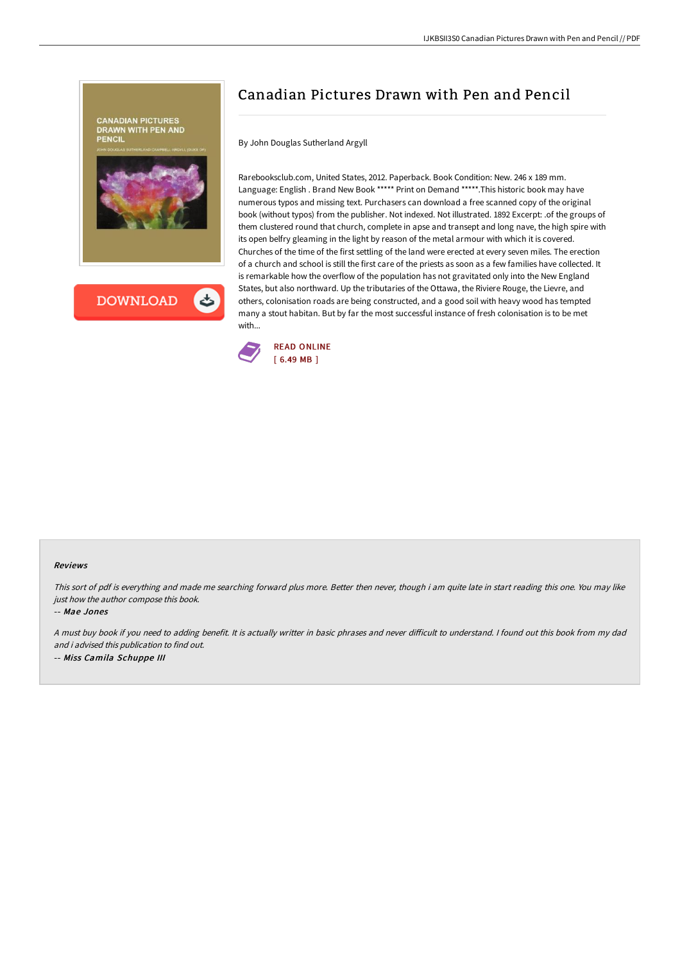

# **DOWNLOAD**

# Canadian Pictures Drawn with Pen and Pencil

By John Douglas Sutherland Argyll

Rarebooksclub.com, United States, 2012. Paperback. Book Condition: New. 246 x 189 mm. Language: English . Brand New Book \*\*\*\*\* Print on Demand \*\*\*\*\*.This historic book may have numerous typos and missing text. Purchasers can download a free scanned copy of the original book (without typos) from the publisher. Not indexed. Not illustrated. 1892 Excerpt: .of the groups of them clustered round that church, complete in apse and transept and long nave, the high spire with its open belfry gleaming in the light by reason of the metal armour with which it is covered. Churches of the time of the first settling of the land were erected at every seven miles. The erection of a church and school is still the first care of the priests as soon as a few families have collected. It is remarkable how the overflow of the population has not gravitated only into the New England States, but also northward. Up the tributaries of the Ottawa, the Riviere Rouge, the Lievre, and others, colonisation roads are being constructed, and a good soil with heavy wood has tempted many a stout habitan. But by far the most successful instance of fresh colonisation is to be met with...



#### Reviews

This sort of pdf is everything and made me searching forward plus more. Better then never, though i am quite late in start reading this one. You may like just how the author compose this book.

#### -- Mae Jones

A must buy book if you need to adding benefit. It is actually writter in basic phrases and never difficult to understand. I found out this book from my dad and i advised this publication to find out. -- Miss Camila Schuppe III